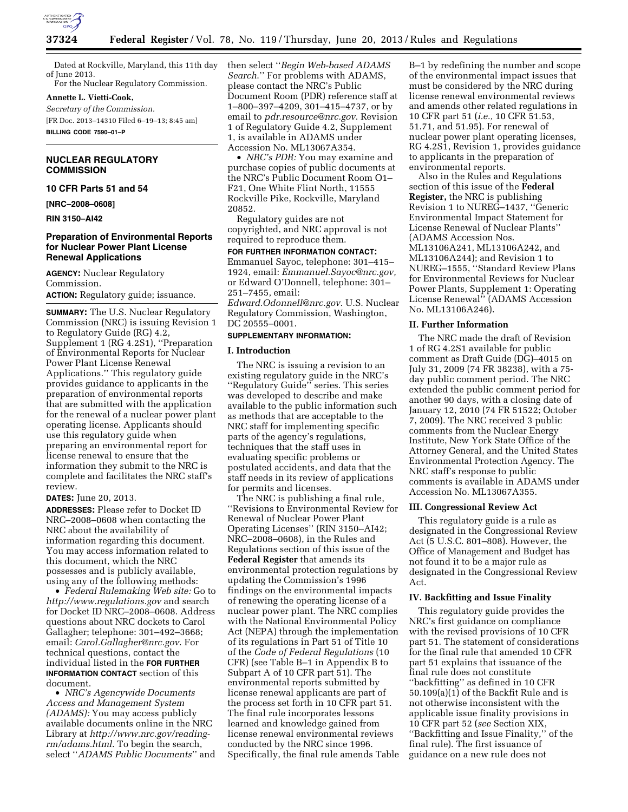

Dated at Rockville, Maryland, this 11th day of June 2013. For the Nuclear Regulatory Commission.

**Annette L. Vietti-Cook,** 

*Secretary of the Commission.* 

[FR Doc. 2013–14310 Filed 6–19–13; 8:45 am] **BILLING CODE 7590–01–P** 

**NUCLEAR REGULATORY COMMISSION** 

**10 CFR Parts 51 and 54** 

**[NRC–2008–0608]** 

**RIN 3150–AI42** 

## **Preparation of Environmental Reports for Nuclear Power Plant License Renewal Applications**

**AGENCY:** Nuclear Regulatory Commission.

**ACTION:** Regulatory guide; issuance.

**SUMMARY:** The U.S. Nuclear Regulatory Commission (NRC) is issuing Revision 1 to Regulatory Guide (RG) 4.2, Supplement 1 (RG 4.2S1), ''Preparation of Environmental Reports for Nuclear Power Plant License Renewal Applications.'' This regulatory guide provides guidance to applicants in the preparation of environmental reports that are submitted with the application for the renewal of a nuclear power plant operating license. Applicants should use this regulatory guide when preparing an environmental report for license renewal to ensure that the information they submit to the NRC is complete and facilitates the NRC staff's review.

**DATES:** June 20, 2013.

**ADDRESSES:** Please refer to Docket ID NRC–2008–0608 when contacting the NRC about the availability of information regarding this document. You may access information related to this document, which the NRC possesses and is publicly available, using any of the following methods:

• *Federal Rulemaking Web site:* Go to *<http://www.regulations.gov>* and search for Docket ID NRC–2008–0608. Address questions about NRC dockets to Carol Gallagher; telephone: 301–492–3668; email: *[Carol.Gallagher@nrc.gov](mailto:Carol.Gallagher@nrc.gov)*. For technical questions, contact the individual listed in the **FOR FURTHER INFORMATION CONTACT** section of this document.

• *NRC's Agencywide Documents Access and Management System (ADAMS):* You may access publicly available documents online in the NRC Library at *[http://www.nrc.gov/reading](http://www.nrc.gov/reading-rm/adams.html)[rm/adams.html](http://www.nrc.gov/reading-rm/adams.html)*. To begin the search, select ''*ADAMS Public Documents*'' and then select ''*Begin Web-based ADAMS Search*.'' For problems with ADAMS, please contact the NRC's Public Document Room (PDR) reference staff at 1–800–397–4209, 301–415–4737, or by email to *[pdr.resource@nrc.gov](mailto:pdr.resource@nrc.gov)*. Revision 1 of Regulatory Guide 4.2, Supplement 1, is available in ADAMS under Accession No. ML13067A354.

• *NRC's PDR:* You may examine and purchase copies of public documents at the NRC's Public Document Room O1– F21, One White Flint North, 11555 Rockville Pike, Rockville, Maryland 20852.

Regulatory guides are not copyrighted, and NRC approval is not required to reproduce them.

**FOR FURTHER INFORMATION CONTACT:**  Emmanuel Sayoc, telephone: 301–415– 1924, email: *[Emmanuel.Sayoc@nrc.gov,](mailto:Emmanuel.Sayoc@nrc.gov)*  or Edward O'Donnell, telephone: 301– 251–7455, email:

*[Edward.Odonnell@nrc.gov](mailto:Edward.Odonnell@nrc.gov)*. U.S. Nuclear Regulatory Commission, Washington, DC 20555–0001.

### **SUPPLEMENTARY INFORMATION:**

### **I. Introduction**

The NRC is issuing a revision to an existing regulatory guide in the NRC's ''Regulatory Guide'' series. This series was developed to describe and make available to the public information such as methods that are acceptable to the NRC staff for implementing specific parts of the agency's regulations, techniques that the staff uses in evaluating specific problems or postulated accidents, and data that the staff needs in its review of applications for permits and licenses.

The NRC is publishing a final rule, ''Revisions to Environmental Review for Renewal of Nuclear Power Plant Operating Licenses'' (RIN 3150–AI42; NRC–2008–0608), in the Rules and Regulations section of this issue of the **Federal Register** that amends its environmental protection regulations by updating the Commission's 1996 findings on the environmental impacts of renewing the operating license of a nuclear power plant. The NRC complies with the National Environmental Policy Act (NEPA) through the implementation of its regulations in Part 51 of Title 10 of the *Code of Federal Regulations* (10 CFR) (see Table B–1 in Appendix B to Subpart A of 10 CFR part 51). The environmental reports submitted by license renewal applicants are part of the process set forth in 10 CFR part 51. The final rule incorporates lessons learned and knowledge gained from license renewal environmental reviews conducted by the NRC since 1996. Specifically, the final rule amends Table

B–1 by redefining the number and scope of the environmental impact issues that must be considered by the NRC during license renewal environmental reviews and amends other related regulations in 10 CFR part 51 (*i.e.,* 10 CFR 51.53, 51.71, and 51.95). For renewal of nuclear power plant operating licenses, RG 4.2S1, Revision 1, provides guidance to applicants in the preparation of environmental reports.

Also in the Rules and Regulations section of this issue of the **Federal Register,** the NRC is publishing Revision 1 to NUREG–1437, ''Generic Environmental Impact Statement for License Renewal of Nuclear Plants'' (ADAMS Accession Nos. ML13106A241, ML13106A242, and ML13106A244); and Revision 1 to NUREG–1555, ''Standard Review Plans for Environmental Reviews for Nuclear Power Plants, Supplement 1: Operating License Renewal'' (ADAMS Accession No. ML13106A246).

## **II. Further Information**

The NRC made the draft of Revision 1 of RG 4.2S1 available for public comment as Draft Guide (DG)–4015 on July 31, 2009 (74 FR 38238), with a 75 day public comment period. The NRC extended the public comment period for another 90 days, with a closing date of January 12, 2010 (74 FR 51522; October 7, 2009). The NRC received 3 public comments from the Nuclear Energy Institute, New York State Office of the Attorney General, and the United States Environmental Protection Agency. The NRC staff's response to public comments is available in ADAMS under Accession No. ML13067A355.

## **III. Congressional Review Act**

This regulatory guide is a rule as designated in the Congressional Review Act (5 U.S.C. 801–808). However, the Office of Management and Budget has not found it to be a major rule as designated in the Congressional Review Act.

## **IV. Backfitting and Issue Finality**

This regulatory guide provides the NRC's first guidance on compliance with the revised provisions of 10 CFR part 51. The statement of considerations for the final rule that amended 10 CFR part 51 explains that issuance of the final rule does not constitute ''backfitting'' as defined in 10 CFR  $50.109(a)(1)$  of the Backfit Rule and is not otherwise inconsistent with the applicable issue finality provisions in 10 CFR part 52 (*see* Section XIX, ''Backfitting and Issue Finality,'' of the final rule). The first issuance of guidance on a new rule does not